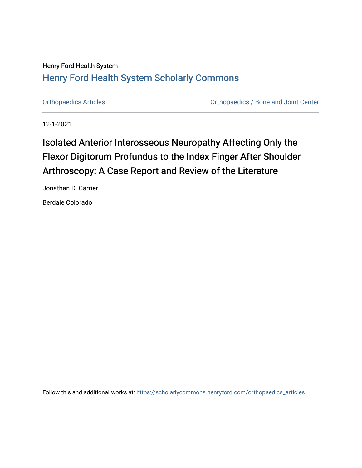### Henry Ford Health System [Henry Ford Health System Scholarly Commons](https://scholarlycommons.henryford.com/)

[Orthopaedics Articles](https://scholarlycommons.henryford.com/orthopaedics_articles) [Orthopaedics / Bone and Joint Center](https://scholarlycommons.henryford.com/orthopaedics) 

12-1-2021

# Isolated Anterior Interosseous Neuropathy Affecting Only the Flexor Digitorum Profundus to the Index Finger After Shoulder Arthroscopy: A Case Report and Review of the Literature

Jonathan D. Carrier

Berdale Colorado

Follow this and additional works at: [https://scholarlycommons.henryford.com/orthopaedics\\_articles](https://scholarlycommons.henryford.com/orthopaedics_articles?utm_source=scholarlycommons.henryford.com%2Forthopaedics_articles%2F372&utm_medium=PDF&utm_campaign=PDFCoverPages)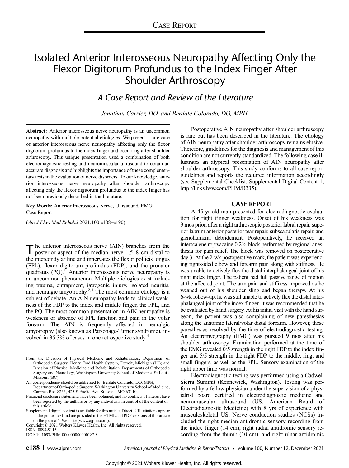## Isolated Anterior Interosseous Neuropathy Affecting Only the Flexor Digitorum Profundus to the Index Finger After Shoulder Arthroscopy

### A Case Report and Review of the Literature

Jonathan Carrier, DO, and Berdale Colorado, DO, MPH

Abstract: Anterior interosseous nerve neuropathy is an uncommon neuropathy with multiple potential etiologies. We present a rare case of anterior interosseous nerve neuropathy affecting only the flexor digitorum profundus to the index finger and occurring after shoulder arthroscopy. This unique presentation used a combination of both electrodiagnostic testing and neuromuscular ultrasound to obtain an accurate diagnosis and highlights the importance of these complementary tests in the evaluation of nerve disorders. To our knowledge, anterior interosseous nerve neuropathy after shoulder arthroscopy affecting only the flexor digitorum profundus to the index finger has not been previously described in the literature.

Key Words: Anterior Interosseous Nerve, Ultrasound, EMG, Case Report

(Am J Phys Med Rehabil 2021;100:e188–e190)

The anterior interosseous nerve (AIN) branches from the posterior aspect of the median nerve 1.5–8 cm distal to the intercondylar line and innervates the flexor pollicis longus (FPL), flexor digitorum profundus (FDP), and the pronator quadratus  $(PQ)$ .<sup>1</sup> Anterior interosseous nerve neuropathy is an uncommon phenomenon. Multiple etiologies exist including trauma, entrapment, iatrogenic injury, isolated neuritis, and neuralgic amyotrophy.<sup>2,3</sup> The most common etiology is a subject of debate. An AIN neuropathy leads to clinical weakness of the FDP to the index and middle finger, the FPL, and the PQ. The most common presentation in AIN neuropathy is weakness or absence of FPL function and pain in the volar forearm. The AIN is frequently affected in neuralgic amyotrophy (also known as Parsonage-Turner syndrome), involved in 35.3% of cases in one retrospective study.<sup>4</sup>

All correspondence should be addressed to: Berdale Colorado, DO, MPH, Department of Orthopedic Surgery, Washington University School of Medicine, Campus Box 8233, 425 S Euclid Ave, St Louis, MO 63110.

Copyright © 2021 Wolters Kluwer Health, Inc. All rights reserved. ISSN: 0894-9115

DOI: 10.1097/PHM.0000000000001829

Postoperative AIN neuropathy after shoulder arthroscopy is rare but has been described in the literature. The etiology of AIN neuropathy after shoulder arthroscopy remains elusive. Therefore, guidelines for the diagnosis and management of this condition are not currently standardized. The following case illustrates an atypical presentation of AIN neuropathy after shoulder arthroscopy. This study conforms to all case report guidelines and reports the required information accordingly (see Supplemental Checklist, Supplemental Digital Content 1, <http://links.lww.com/PHM/B335>).

#### CASE REPORT

A 45-yr-old man presented for electrodiagnostic evaluation for right finger weakness. Onset of his weakness was 9 mos prior, after a right arthroscopic posterior labral repair, superior labrum anterior posterior tear repair, subscapularis repair, and glenohumeral debridement. Postoperatively, he received an interscalene ropivacaine 0.2% block performed by regional anesthesia for pain relief. The block was removed on postoperative day 3. At the 2-wk postoperative mark, the patient was experiencing right-sided elbow and forearm pain along with stiffness. He was unable to actively flex the distal interphalangeal joint of his right index finger. The patient had full passive range of motion at the affected joint. The arm pain and stiffness improved as he weaned out of his shoulder sling and began therapy. At his 6-wk follow-up, he was still unable to actively flex the distal interphalangeal joint of the index finger. It was recommended that he be evaluated by hand surgery. At his initial visit with the hand surgeon, the patient was also complaining of new paresthesias along the anatomic lateral/volar distal forearm. However, these paresthesias resolved by the time of electrodiagnostic testing. An electromyography (EMG) was pursued 9 mos after his shoulder arthroscopy. Examination performed at the time of the EMG revealed 0/5 strength in the right FDP to the index finger and 5/5 strength in the right FDP to the middle, ring, and small fingers, as well as the FPL. Sensory examination of the right upper limb was normal.

Electrodiagnostic testing was performed using a Cadwell Sierra Summit (Kennewick, Washington). Testing was performed by a fellow physician under the supervision of a physiatrist board certified in electrodiagnostic medicine and neuromuscular ultrasound (US, American Board of Electrodiagnostic Medicine) with 8 yrs of experience with musculoskeletal US. Nerve conduction studies (NCSs) included the right median antidromic sensory recording from the index finger (14 cm), right radial antidromic sensory recording from the thumb (10 cm), and right ulnar antidromic

From the Division of Physical Medicine and Rehabilitation, Department of Orthopedic Surgery, Henry Ford Health System, Detroit, Michigan (JC); and Division of Physical Medicine and Rehabilitation, Departments of Orthopedic Surgery and Neurology, Washington University School of Medicine, St Louis, Missouri (BC).

Financial disclosure statements have been obtained, and no conflicts of interest have been reported by the authors or by any individuals in control of the content of this article.

Supplemental digital content is available for this article. Direct URL citations appear in the printed text and are provided in the HTML and PDF versions of this article on the journal's Web site [\(www.ajpmr.com](http://www.ajpmr.com)).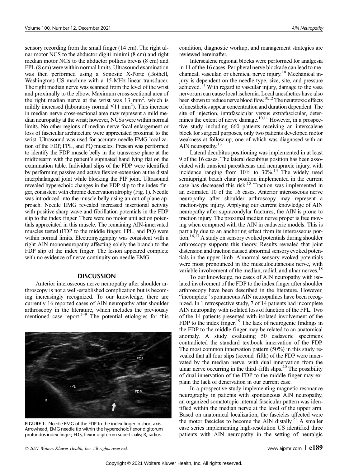sensory recording from the small finger (14 cm). The right ulnar motor NCS to the abductor digiti minimi (8 cm) and right median motor NCS to the abductor pollicis brevis (8 cm) and FPL (8 cm) were within normal limits. Ultrasound examination was then performed using a Sonosite X-Porte (Bothell, Washington) US machine with a 15-MHz linear transducer. The right median nerve was scanned from the level of the wrist and proximally to the elbow. Maximum cross-sectional area of the right median nerve at the wrist was 13 mm<sup>2</sup>, which is mildly increased (laboratory normal  $\leq 11$  mm<sup>2</sup>). This increase in median nerve cross-sectional area may represent a mild median neuropathy at the wrist; however, NCSs were within normal limits. No other regions of median nerve focal enlargement or loss of fascicular architecture were appreciated proximal to the wrist. Ultrasound was used for accurate needle EMG localization of the FDP, FPL, and PQ muscles. Prescan was performed to identify the FDP muscle belly in the transverse plane at the midforearm with the patient's supinated hand lying flat on the examination table. Individual slips of the FDP were identified by performing passive and active flexion-extension at the distal interphalangeal joint while blocking the PIP joint. Ultrasound revealed hyperechoic changes in the FDP slip to the index finger, consistent with chronic denervation atrophy (Fig. 1). Needle was introduced into the muscle belly using an out-of-plane approach. Needle EMG revealed increased insertional activity with positive sharp wave and fibrillation potentials in the FDP slip to the index finger. There were no motor unit action potentials appreciated in this muscle. The remaining AIN-innervated muscles tested (FDP to the middle finger, FPL, and PQ) were within normal limits. Electromyography was consistent with a right AIN mononeuropathy affecting solely the branch to the FDP slip of the index finger. The lesion appeared complete with no evidence of nerve continuity on needle EMG.

#### **DISCUSSION**

Anterior interosseous nerve neuropathy after shoulder arthroscopy is not a well-established complication but is becoming increasingly recognized. To our knowledge, there are currently 16 reported cases of AIN neuropathy after shoulder arthroscopy in the literature, which includes the previously mentioned case report.<sup>5–9</sup> The potential etiologies for this



FIGURE 1. Needle EMG of the FDP to the index finger in short axis. Arrowhead, EMG needle tip within the hyperechoic flexor digitorum profundus index finger; FDS, flexor digitorum superficialis; R, radius.

condition, diagnostic workup, and management strategies are reviewed hereinafter.

Interscalene regional blocks were performed for analgesia in 11 of the 16 cases. Peripheral nerve blockade can lead to mechanical, vascular, or chemical nerve injury.<sup>10</sup> Mechanical injury is dependent on the needle type, size, site, and pressure achieved.<sup>11</sup> With regard to vascular injury, damage to the vasa nervorum can cause local ischemia. Local anesthetics have also been shown to reduce nerve blood flow.<sup>10,12</sup> The neurotoxic effects of anesthetics appear concentration and duration dependent. The site of injection, intrafascicular versus extrafascicular, determines the extent of nerve damage.<sup>10,11</sup> However, in a prospective study including 660 patients receiving an interscalene block for surgical purposes, only two patients developed motor weakness at follow-up, one of which was diagnosed with an AIN neuropathy.<sup>13</sup>

Lateral decubitus positioning was implemented in at least 9 of the 16 cases. The lateral decubitus position has been associated with transient paresthesias and neurapraxic injury, with incidence ranging from  $10\%$  to  $30\%$ .<sup>14</sup> The widely used semiupright beach chair position implemented in the current case has decreased this risk.15 Traction was implemented in an estimated 10 of the 16 cases. Anterior interosseous nerve neuropathy after shoulder arthroscopy may represent a traction-type injury. Applying our current knowledge of AIN neuropathy after supracondylar fractures, the AIN is prone to traction injury. The proximal median nerve proper is free moving when compared with the AIN in cadaveric models. This is partially due to an anchoring effect from its interosseous portion.<sup>16,17</sup> A study on sensory evoked potentials during shoulder arthroscopy supports this theory. Results revealed that joint distension and traction caused abnormal sensory evoked potentials in the upper limb. Abnormal sensory evoked potentials were most pronounced in the musculocutaneous nerve, with variable involvement of the median, radial, and ulnar nerves.<sup>18</sup>

To our knowledge, no cases of AIN neuropathy with isolated involvement of the FDP to the index finger after shoulder arthroscopy have been described in the literature. However, "incomplete" spontaneous AIN neuropathies have been recognized. In 1 retrospective study, 7 of 14 patients had incomplete AIN neuropathy with isolated loss of function of the FPL. Two of the 14 patients presented with isolated involvement of the FDP to the index finger.<sup>19</sup> The lack of neurogenic findings in the FDP to the middle finger may be related to an anatomical anomaly. A study evaluating 50 cadaveric specimens contradicted the standard textbook innervation of the FDP. The most common innervation pattern (50%) in this study revealed that all four slips (second–fifth) of the FDP were innervated by the median nerve, with dual innervation from the ulnar nerve occurring in the third–fifth slips. $20$  The possibility of dual innervation of the FDP to the middle finger may explain the lack of denervation in our current case.

In a prospective study implementing magnetic resonance neurography in patients with spontaneous AIN neuropathy, an organized somatotopic internal fascicular pattern was identified within the median nerve at the level of the upper arm. Based on anatomical localization, the fascicles affected were the motor fascicles to become the AIN distally.<sup>21</sup> A smaller case series implementing high-resolution US identified three patients with AIN neuropathy in the setting of neuralgic